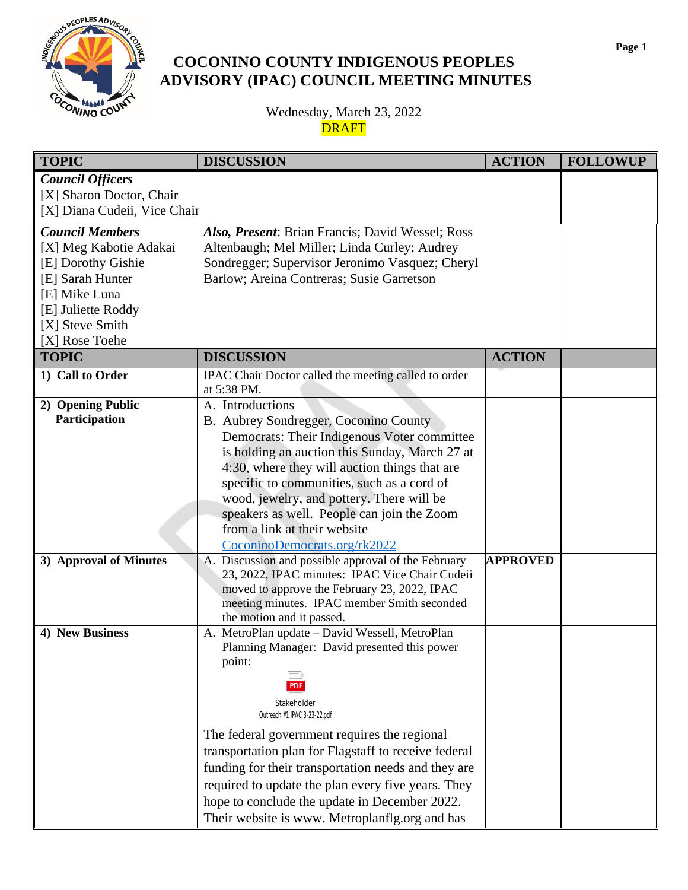

## **COCONINO COUNTY INDIGENOUS PEOPLES ADVISORY (IPAC) COUNCIL MEETING MINUTES**

Wednesday, March 23, 2022 **DRAFT** 

| <b>TOPIC</b>                                                                                                                                                           | <b>DISCUSSION</b>                                                                                                                                                                                                                                                                                                                                                                                                                                                               | <b>ACTION</b>   | <b>FOLLOWUP</b> |
|------------------------------------------------------------------------------------------------------------------------------------------------------------------------|---------------------------------------------------------------------------------------------------------------------------------------------------------------------------------------------------------------------------------------------------------------------------------------------------------------------------------------------------------------------------------------------------------------------------------------------------------------------------------|-----------------|-----------------|
| <b>Council Officers</b><br>[X] Sharon Doctor, Chair<br>[X] Diana Cudeii, Vice Chair                                                                                    |                                                                                                                                                                                                                                                                                                                                                                                                                                                                                 |                 |                 |
| <b>Council Members</b><br>[X] Meg Kabotie Adakai<br>[E] Dorothy Gishie<br>[E] Sarah Hunter<br>[E] Mike Luna<br>[E] Juliette Roddy<br>[X] Steve Smith<br>[X] Rose Toehe | Also, Present: Brian Francis; David Wessel; Ross<br>Altenbaugh; Mel Miller; Linda Curley; Audrey<br>Sondregger; Supervisor Jeronimo Vasquez; Cheryl<br>Barlow; Areina Contreras; Susie Garretson                                                                                                                                                                                                                                                                                |                 |                 |
| <b>TOPIC</b>                                                                                                                                                           | <b>DISCUSSION</b>                                                                                                                                                                                                                                                                                                                                                                                                                                                               | <b>ACTION</b>   |                 |
| 1) Call to Order                                                                                                                                                       | IPAC Chair Doctor called the meeting called to order<br>at 5:38 PM.                                                                                                                                                                                                                                                                                                                                                                                                             |                 |                 |
| 2) Opening Public<br>Participation                                                                                                                                     | A. Introductions<br>B. Aubrey Sondregger, Coconino County<br>Democrats: Their Indigenous Voter committee<br>is holding an auction this Sunday, March 27 at<br>4:30, where they will auction things that are<br>specific to communities, such as a cord of<br>wood, jewelry, and pottery. There will be<br>speakers as well. People can join the Zoom<br>from a link at their website<br>CoconinoDemocrats.org/rk2022                                                            |                 |                 |
| 3) Approval of Minutes                                                                                                                                                 | A. Discussion and possible approval of the February<br>23, 2022, IPAC minutes: IPAC Vice Chair Cudeii<br>moved to approve the February 23, 2022, IPAC<br>meeting minutes. IPAC member Smith seconded<br>the motion and it passed.                                                                                                                                                                                                                                               | <b>APPROVED</b> |                 |
| 4) New Business                                                                                                                                                        | A. MetroPlan update - David Wessell, MetroPlan<br>Planning Manager: David presented this power<br>point:<br>Stakeholder<br>Outreach #1 IPAC 3-23-22.pdf<br>The federal government requires the regional<br>transportation plan for Flagstaff to receive federal<br>funding for their transportation needs and they are<br>required to update the plan every five years. They<br>hope to conclude the update in December 2022.<br>Their website is www. Metroplanflg.org and has |                 |                 |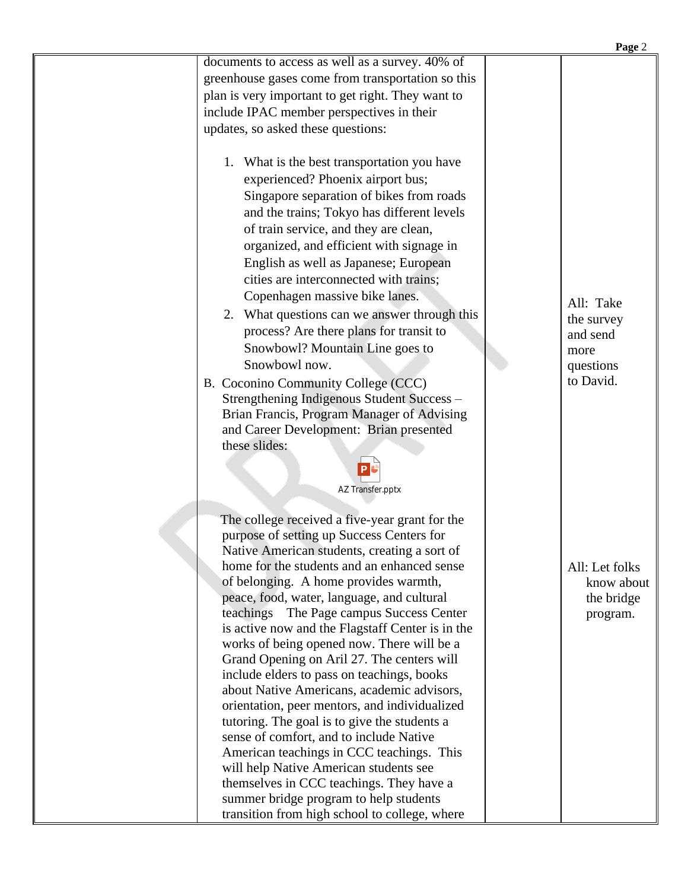| documents to access as well as a survey. 40% of<br>greenhouse gases come from transportation so this<br>plan is very important to get right. They want to<br>include IPAC member perspectives in their<br>updates, so asked these questions:<br>1. What is the best transportation you have<br>experienced? Phoenix airport bus;<br>Singapore separation of bikes from roads<br>and the trains; Tokyo has different levels<br>of train service, and they are clean,<br>organized, and efficient with signage in<br>English as well as Japanese; European<br>cities are interconnected with trains;<br>Copenhagen massive bike lanes.<br>All: Take<br>2. What questions can we answer through this<br>the survey<br>process? Are there plans for transit to<br>and send<br>Snowbowl? Mountain Line goes to<br>more<br>Snowbowl now.<br>questions<br>to David.<br>B. Coconino Community College (CCC)<br>Strengthening Indigenous Student Success -<br>Brian Francis, Program Manager of Advising<br>and Career Development: Brian presented<br>these slides:<br>AZ Transfer.pptx<br>The college received a five-year grant for the<br>purpose of setting up Success Centers for<br>Native American students, creating a sort of<br>home for the students and an enhanced sense<br>All: Let folks<br>of belonging. A home provides warmth,<br>know about<br>peace, food, water, language, and cultural<br>the bridge<br>teachings The Page campus Success Center<br>program.<br>is active now and the Flagstaff Center is in the<br>works of being opened now. There will be a<br>Grand Opening on Aril 27. The centers will<br>include elders to pass on teachings, books<br>about Native Americans, academic advisors,<br>orientation, peer mentors, and individualized<br>tutoring. The goal is to give the students a<br>sense of comfort, and to include Native<br>American teachings in CCC teachings. This<br>will help Native American students see<br>themselves in CCC teachings. They have a<br>summer bridge program to help students |                                               | Page 2 |
|-------------------------------------------------------------------------------------------------------------------------------------------------------------------------------------------------------------------------------------------------------------------------------------------------------------------------------------------------------------------------------------------------------------------------------------------------------------------------------------------------------------------------------------------------------------------------------------------------------------------------------------------------------------------------------------------------------------------------------------------------------------------------------------------------------------------------------------------------------------------------------------------------------------------------------------------------------------------------------------------------------------------------------------------------------------------------------------------------------------------------------------------------------------------------------------------------------------------------------------------------------------------------------------------------------------------------------------------------------------------------------------------------------------------------------------------------------------------------------------------------------------------------------------------------------------------------------------------------------------------------------------------------------------------------------------------------------------------------------------------------------------------------------------------------------------------------------------------------------------------------------------------------------------------------------------------------------------------------------------------------------------------------------------------------|-----------------------------------------------|--------|
|                                                                                                                                                                                                                                                                                                                                                                                                                                                                                                                                                                                                                                                                                                                                                                                                                                                                                                                                                                                                                                                                                                                                                                                                                                                                                                                                                                                                                                                                                                                                                                                                                                                                                                                                                                                                                                                                                                                                                                                                                                                 |                                               |        |
|                                                                                                                                                                                                                                                                                                                                                                                                                                                                                                                                                                                                                                                                                                                                                                                                                                                                                                                                                                                                                                                                                                                                                                                                                                                                                                                                                                                                                                                                                                                                                                                                                                                                                                                                                                                                                                                                                                                                                                                                                                                 |                                               |        |
|                                                                                                                                                                                                                                                                                                                                                                                                                                                                                                                                                                                                                                                                                                                                                                                                                                                                                                                                                                                                                                                                                                                                                                                                                                                                                                                                                                                                                                                                                                                                                                                                                                                                                                                                                                                                                                                                                                                                                                                                                                                 |                                               |        |
|                                                                                                                                                                                                                                                                                                                                                                                                                                                                                                                                                                                                                                                                                                                                                                                                                                                                                                                                                                                                                                                                                                                                                                                                                                                                                                                                                                                                                                                                                                                                                                                                                                                                                                                                                                                                                                                                                                                                                                                                                                                 |                                               |        |
|                                                                                                                                                                                                                                                                                                                                                                                                                                                                                                                                                                                                                                                                                                                                                                                                                                                                                                                                                                                                                                                                                                                                                                                                                                                                                                                                                                                                                                                                                                                                                                                                                                                                                                                                                                                                                                                                                                                                                                                                                                                 |                                               |        |
|                                                                                                                                                                                                                                                                                                                                                                                                                                                                                                                                                                                                                                                                                                                                                                                                                                                                                                                                                                                                                                                                                                                                                                                                                                                                                                                                                                                                                                                                                                                                                                                                                                                                                                                                                                                                                                                                                                                                                                                                                                                 |                                               |        |
|                                                                                                                                                                                                                                                                                                                                                                                                                                                                                                                                                                                                                                                                                                                                                                                                                                                                                                                                                                                                                                                                                                                                                                                                                                                                                                                                                                                                                                                                                                                                                                                                                                                                                                                                                                                                                                                                                                                                                                                                                                                 | transition from high school to college, where |        |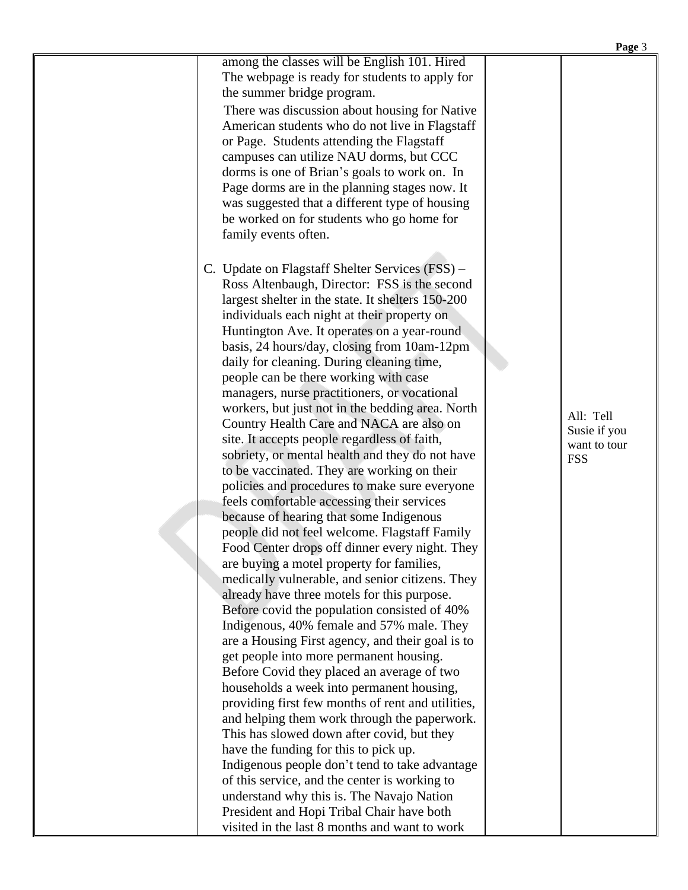|                                                                                                                                                                                                                                                                                                                                                                                                                                                                                                                                                                                                                                                                                                                                                                                                                                                                                                                                                                                                                                                                                                                                                                                                                                                                                                                                                                                                                                                                                                                                 | Page 3                                                  |
|---------------------------------------------------------------------------------------------------------------------------------------------------------------------------------------------------------------------------------------------------------------------------------------------------------------------------------------------------------------------------------------------------------------------------------------------------------------------------------------------------------------------------------------------------------------------------------------------------------------------------------------------------------------------------------------------------------------------------------------------------------------------------------------------------------------------------------------------------------------------------------------------------------------------------------------------------------------------------------------------------------------------------------------------------------------------------------------------------------------------------------------------------------------------------------------------------------------------------------------------------------------------------------------------------------------------------------------------------------------------------------------------------------------------------------------------------------------------------------------------------------------------------------|---------------------------------------------------------|
| among the classes will be English 101. Hired<br>The webpage is ready for students to apply for<br>the summer bridge program.<br>There was discussion about housing for Native<br>American students who do not live in Flagstaff<br>or Page. Students attending the Flagstaff<br>campuses can utilize NAU dorms, but CCC<br>dorms is one of Brian's goals to work on. In<br>Page dorms are in the planning stages now. It<br>was suggested that a different type of housing<br>be worked on for students who go home for<br>family events often.                                                                                                                                                                                                                                                                                                                                                                                                                                                                                                                                                                                                                                                                                                                                                                                                                                                                                                                                                                                 |                                                         |
| C. Update on Flagstaff Shelter Services (FSS) –<br>Ross Altenbaugh, Director: FSS is the second<br>largest shelter in the state. It shelters 150-200<br>individuals each night at their property on<br>Huntington Ave. It operates on a year-round<br>basis, 24 hours/day, closing from 10am-12pm<br>daily for cleaning. During cleaning time,<br>people can be there working with case<br>managers, nurse practitioners, or vocational<br>workers, but just not in the bedding area. North<br>Country Health Care and NACA are also on<br>site. It accepts people regardless of faith,<br>sobriety, or mental health and they do not have<br>to be vaccinated. They are working on their<br>policies and procedures to make sure everyone<br>feels comfortable accessing their services<br>because of hearing that some Indigenous<br>people did not feel welcome. Flagstaff Family<br>Food Center drops off dinner every night. They<br>are buying a motel property for families,<br>medically vulnerable, and senior citizens. They<br>already have three motels for this purpose.<br>Before covid the population consisted of 40%<br>Indigenous, 40% female and 57% male. They<br>are a Housing First agency, and their goal is to<br>get people into more permanent housing.<br>Before Covid they placed an average of two<br>households a week into permanent housing,<br>providing first few months of rent and utilities,<br>and helping them work through the paperwork.<br>This has slowed down after covid, but they | All: Tell<br>Susie if you<br>want to tour<br><b>FSS</b> |

have the funding for this to pick up.

Indigenous people don't tend to take advantage of this service, and the center is working to understand why this is. The Navajo Nation President and Hopi Tribal Chair have both visited in the last 8 months and want to work